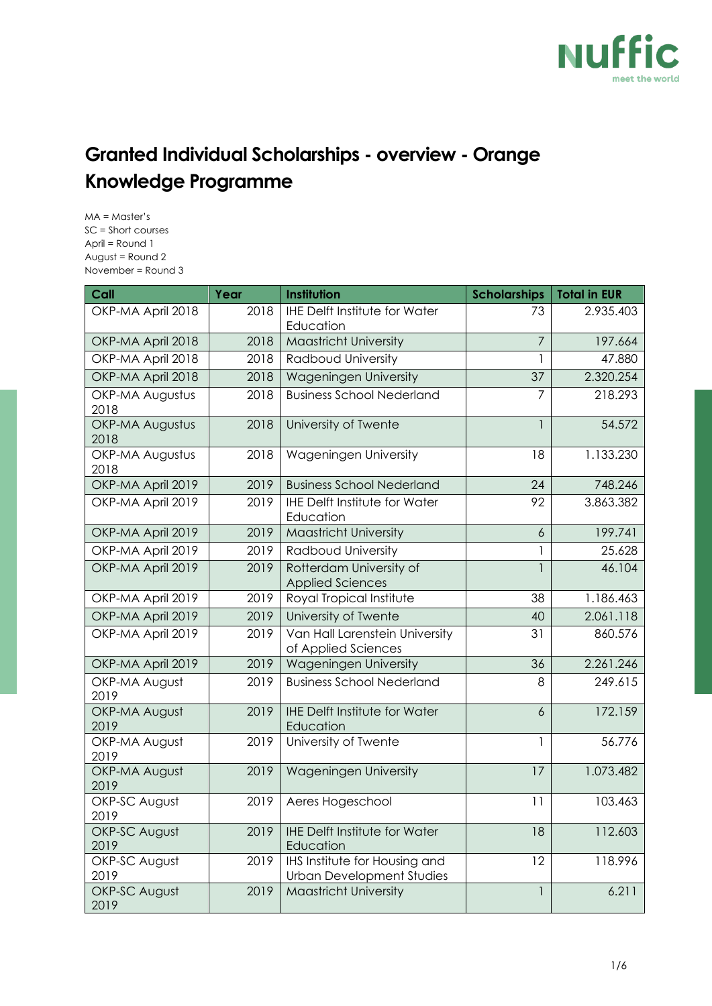

## **Granted Individual Scholarships - overview - Orange Knowledge Programme**

MA = Master's SC = Short courses April = Round 1 August = Round 2 November = Round 3

| Call                           | Year | Institution                                                       | <b>Scholarships</b> | <b>Total in EUR</b> |
|--------------------------------|------|-------------------------------------------------------------------|---------------------|---------------------|
| OKP-MA April 2018              | 2018 | <b>IHE Delft Institute for Water</b><br>Education                 | 73                  | 2.935.403           |
| OKP-MA April 2018              | 2018 | <b>Maastricht University</b>                                      | $\overline{7}$      | 197.664             |
| OKP-MA April 2018              | 2018 | Radboud University                                                | 1                   | 47.880              |
| OKP-MA April 2018              | 2018 | Wageningen University                                             | 37                  | 2.320.254           |
| <b>OKP-MA Augustus</b><br>2018 | 2018 | <b>Business School Nederland</b>                                  | $\overline{7}$      | 218.293             |
| <b>OKP-MA Augustus</b><br>2018 | 2018 | University of Twente                                              |                     | 54.572              |
| <b>OKP-MA Augustus</b><br>2018 | 2018 | Wageningen University                                             | 18                  | 1.133.230           |
| OKP-MA April 2019              | 2019 | <b>Business School Nederland</b>                                  | 24                  | 748.246             |
| OKP-MA April 2019              | 2019 | <b>IHE Delft Institute for Water</b><br>Education                 | 92                  | 3.863.382           |
| OKP-MA April 2019              | 2019 | Maastricht University                                             | $\overline{6}$      | 199.741             |
| OKP-MA April 2019              | 2019 | Radboud University                                                |                     | 25.628              |
| OKP-MA April 2019              | 2019 | Rotterdam University of<br><b>Applied Sciences</b>                |                     | 46.104              |
| OKP-MA April 2019              | 2019 | Royal Tropical Institute                                          | 38                  | 1.186.463           |
| OKP-MA April 2019              | 2019 | University of Twente                                              | 40                  | 2.061.118           |
| OKP-MA April 2019              | 2019 | Van Hall Larenstein University<br>of Applied Sciences             | 31                  | 860.576             |
| OKP-MA April 2019              | 2019 | Wageningen University                                             | 36                  | 2.261.246           |
| OKP-MA August<br>2019          | 2019 | <b>Business School Nederland</b>                                  | 8                   | 249.615             |
| OKP-MA August<br>2019          | 2019 | <b>IHE Delft Institute for Water</b><br>Education                 | $\overline{6}$      | 172.159             |
| OKP-MA August<br>2019          | 2019 | University of Twente                                              | 1                   | 56.776              |
| OKP-MA August<br>2019          | 2019 | Wageningen University                                             | 17                  | 1.073.482           |
| OKP-SC August<br>2019          | 2019 | Aeres Hogeschool                                                  | 11                  | 103.463             |
| OKP-SC August<br>2019          | 2019 | <b>IHE Delft Institute for Water</b><br>Education                 | 18                  | 112.603             |
| OKP-SC August<br>2019          | 2019 | IHS Institute for Housing and<br><b>Urban Development Studies</b> | 12                  | 118.996             |
| OKP-SC August<br>2019          | 2019 | <b>Maastricht University</b>                                      |                     | 6.211               |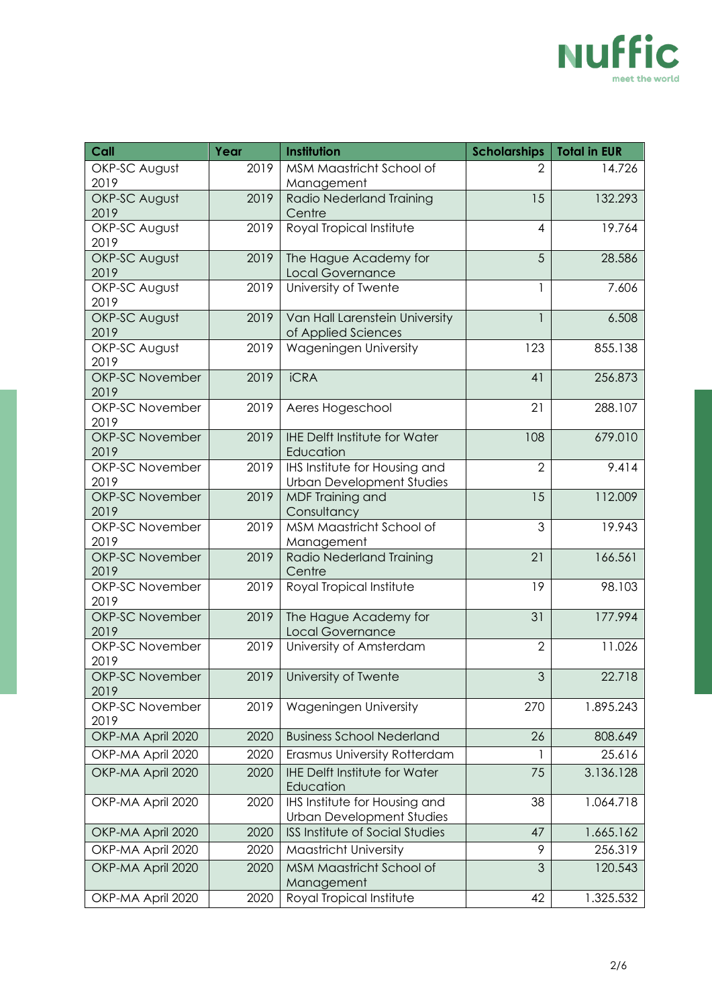

| Call                           | Year | Institution                                                       | <b>Scholarships</b> | <b>Total in EUR</b> |
|--------------------------------|------|-------------------------------------------------------------------|---------------------|---------------------|
| OKP-SC August                  | 2019 | MSM Maastricht School of                                          | $\overline{2}$      | 14.726              |
| 2019                           |      | Management                                                        |                     |                     |
| OKP-SC August                  | 2019 | Radio Nederland Training                                          | 15                  | 132.293             |
| 2019<br>OKP-SC August          | 2019 | Centre<br>Royal Tropical Institute                                | $\overline{4}$      | 19.764              |
| 2019                           |      |                                                                   |                     |                     |
| OKP-SC August                  | 2019 | The Hague Academy for                                             | 5                   | 28.586              |
| 2019                           |      | Local Governance                                                  |                     |                     |
| OKP-SC August                  | 2019 | University of Twente                                              | 1                   | 7.606               |
| 2019                           |      |                                                                   |                     |                     |
| OKP-SC August                  | 2019 | Van Hall Larenstein University                                    | $\mathbf{1}$        | 6.508               |
| 2019<br>OKP-SC August          | 2019 | of Applied Sciences<br>Wageningen University                      | 123                 | 855.138             |
| 2019                           |      |                                                                   |                     |                     |
| <b>OKP-SC November</b>         | 2019 | <b>iCRA</b>                                                       | 41                  | 256.873             |
| 2019                           |      |                                                                   |                     |                     |
| <b>OKP-SC November</b>         | 2019 | Aeres Hogeschool                                                  | 21                  | 288.107             |
| 2019                           |      |                                                                   |                     |                     |
| <b>OKP-SC November</b>         | 2019 | <b>IHE Delft Institute for Water</b>                              | 108                 | 679.010             |
| 2019                           |      | Education                                                         |                     |                     |
| <b>OKP-SC November</b><br>2019 | 2019 | IHS Institute for Housing and<br><b>Urban Development Studies</b> | $\overline{2}$      | 9.414               |
| <b>OKP-SC November</b>         | 2019 | <b>MDF Training and</b>                                           | 15                  | 112.009             |
| 2019                           |      | Consultancy                                                       |                     |                     |
| <b>OKP-SC November</b>         | 2019 | MSM Maastricht School of                                          | 3                   | 19.943              |
| 2019                           |      | Management                                                        |                     |                     |
| <b>OKP-SC November</b>         | 2019 | Radio Nederland Training                                          | 21                  | 166.561             |
| 2019                           |      | Centre                                                            |                     |                     |
| <b>OKP-SC November</b><br>2019 | 2019 | Royal Tropical Institute                                          | 19                  | 98.103              |
| <b>OKP-SC November</b>         | 2019 | The Hague Academy for                                             | 31                  | 177.994             |
| 2019                           |      | <b>Local Governance</b>                                           |                     |                     |
| <b>OKP-SC November</b>         | 2019 | University of Amsterdam                                           | $\overline{2}$      | 11.026              |
| 2019                           |      |                                                                   |                     |                     |
| <b>OKP-SC November</b>         |      | 2019   University of Twente                                       | $\mathfrak{S}$      | 22.718              |
| 2019                           |      |                                                                   |                     |                     |
| <b>OKP-SC November</b><br>2019 | 2019 | Wageningen University                                             | 270                 | 1.895.243           |
| OKP-MA April 2020              | 2020 | <b>Business School Nederland</b>                                  | 26                  | 808.649             |
| OKP-MA April 2020              | 2020 | Erasmus University Rotterdam                                      | -1                  | 25.616              |
| OKP-MA April 2020              | 2020 | <b>IHE Delft Institute for Water</b>                              | 75                  | 3.136.128           |
|                                |      | Education                                                         |                     |                     |
| OKP-MA April 2020              | 2020 | IHS Institute for Housing and                                     | 38                  | 1.064.718           |
|                                |      | <b>Urban Development Studies</b>                                  |                     |                     |
| OKP-MA April 2020              | 2020 | <b>ISS Institute of Social Studies</b>                            | 47                  | 1.665.162           |
| OKP-MA April 2020              | 2020 | Maastricht University                                             | 9                   | 256.319             |
| OKP-MA April 2020              | 2020 | MSM Maastricht School of                                          | 3                   | 120.543             |
|                                |      | Management                                                        |                     |                     |
| OKP-MA April 2020              | 2020 | Royal Tropical Institute                                          | 42                  | 1.325.532           |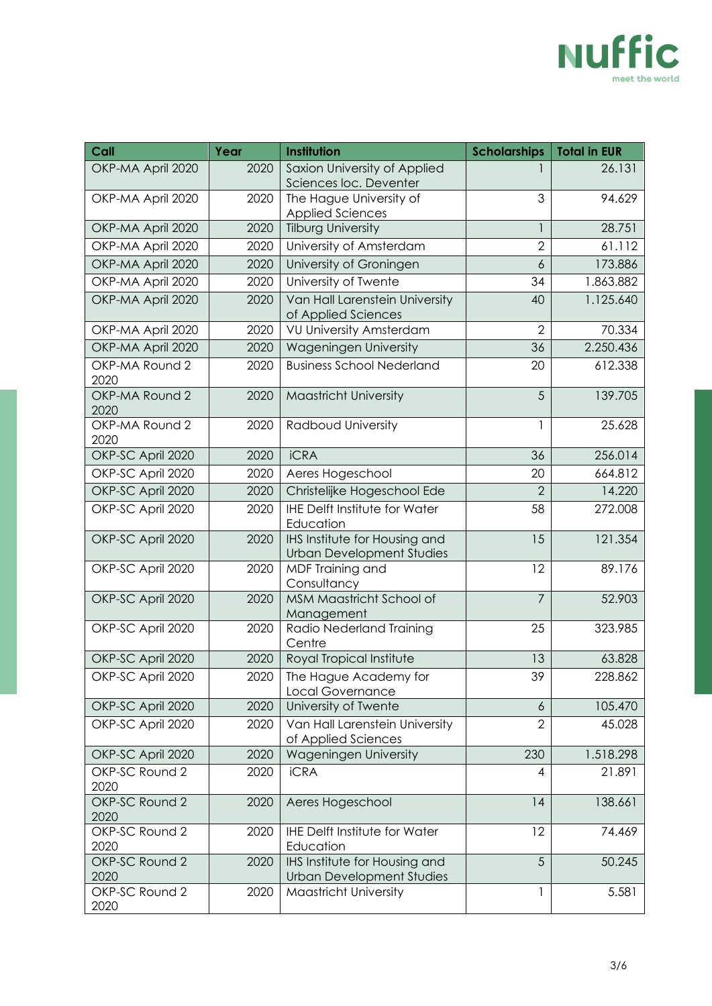

| Call                   | Year | Institution                                                       | <b>Scholarships</b> | <b>Total in EUR</b> |
|------------------------|------|-------------------------------------------------------------------|---------------------|---------------------|
| OKP-MA April 2020      | 2020 | Saxion University of Applied<br>Sciences loc. Deventer            |                     | 26.131              |
| OKP-MA April 2020      | 2020 | The Hague University of<br><b>Applied Sciences</b>                | 3                   | 94.629              |
| OKP-MA April 2020      | 2020 | <b>Tilburg University</b>                                         |                     | 28.751              |
| OKP-MA April 2020      | 2020 | University of Amsterdam                                           | $\overline{2}$      | 61.112              |
| OKP-MA April 2020      | 2020 | University of Groningen                                           | $\ddot{\delta}$     | 173.886             |
| OKP-MA April 2020      | 2020 | University of Twente                                              | 34                  | 1.863.882           |
| OKP-MA April 2020      | 2020 | Van Hall Larenstein University<br>of Applied Sciences             | 40                  | 1.125.640           |
| OKP-MA April 2020      | 2020 | <b>VU University Amsterdam</b>                                    | $\overline{2}$      | 70.334              |
| OKP-MA April 2020      | 2020 | Wageningen University                                             | 36                  | 2.250.436           |
| OKP-MA Round 2<br>2020 | 2020 | <b>Business School Nederland</b>                                  | 20                  | 612.338             |
| OKP-MA Round 2<br>2020 | 2020 | <b>Maastricht University</b>                                      | 5                   | 139.705             |
| OKP-MA Round 2<br>2020 | 2020 | Radboud University                                                | 1                   | 25.628              |
| OKP-SC April 2020      | 2020 | <b>iCRA</b>                                                       | 36                  | 256.014             |
| OKP-SC April 2020      | 2020 | Aeres Hogeschool                                                  | 20                  | 664.812             |
| OKP-SC April 2020      | 2020 | Christelijke Hogeschool Ede                                       | $\overline{2}$      | 14.220              |
| OKP-SC April 2020      | 2020 | <b>IHE Delft Institute for Water</b><br>Education                 | 58                  | 272.008             |
| OKP-SC April 2020      | 2020 | IHS Institute for Housing and<br><b>Urban Development Studies</b> | 15                  | 121.354             |
| OKP-SC April 2020      | 2020 | MDF Training and<br>Consultancy                                   | 12                  | 89.176              |
| OKP-SC April 2020      | 2020 | MSM Maastricht School of<br>Management                            | $\overline{7}$      | 52.903              |
| OKP-SC April 2020      | 2020 | Radio Nederland Training<br>Centre                                | 25                  | 323.985             |
| OKP-SC April 2020      | 2020 | Royal Tropical Institute                                          | 13                  | 63.828              |
| OKP-SC April 2020      | 2020 | The Hague Academy for<br>Local Governance                         | 39                  | 228.862             |
| OKP-SC April 2020      | 2020 | University of Twente                                              | $\boldsymbol{6}$    | 105.470             |
| OKP-SC April 2020      | 2020 | Van Hall Larenstein University<br>of Applied Sciences             | $\overline{2}$      | 45.028              |
| OKP-SC April 2020      | 2020 | Wageningen University                                             | 230                 | 1.518.298           |
| OKP-SC Round 2<br>2020 | 2020 | <b>iCRA</b>                                                       | 4                   | 21.891              |
| OKP-SC Round 2<br>2020 | 2020 | Aeres Hogeschool                                                  | 14                  | 138.661             |
| OKP-SC Round 2<br>2020 | 2020 | <b>IHE Delft Institute for Water</b><br>Education                 | 12                  | 74.469              |
| OKP-SC Round 2<br>2020 | 2020 | IHS Institute for Housing and<br><b>Urban Development Studies</b> | 5                   | 50.245              |
| OKP-SC Round 2<br>2020 | 2020 | <b>Maastricht University</b>                                      | 1                   | 5.581               |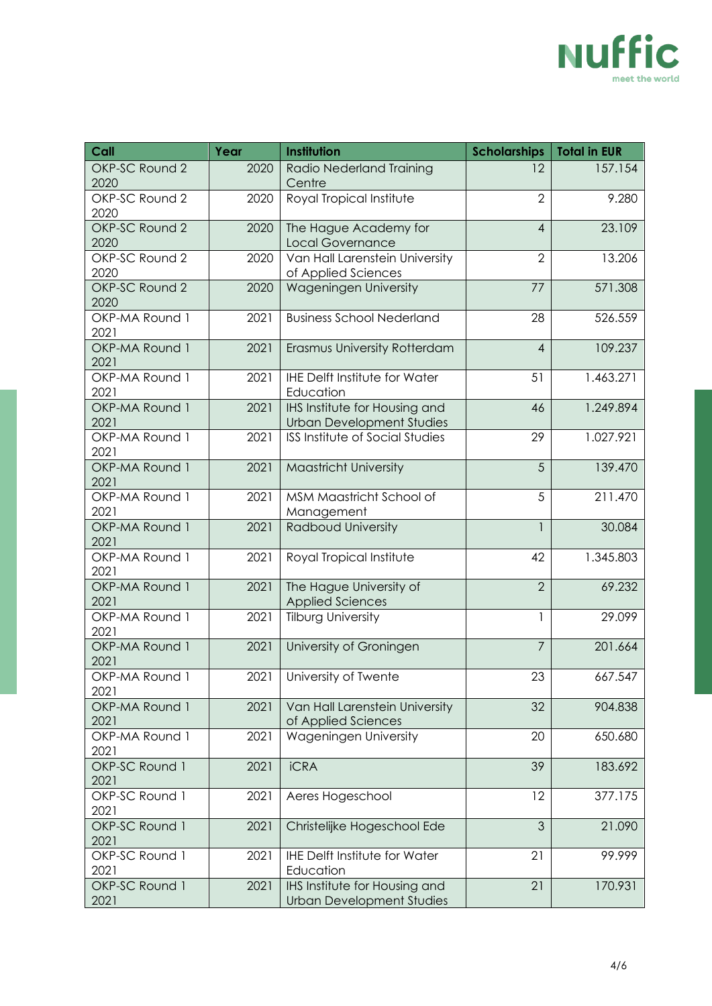

| Call                   | Year | Institution                                                              | <b>Scholarships</b> | <b>Total in EUR</b> |
|------------------------|------|--------------------------------------------------------------------------|---------------------|---------------------|
| OKP-SC Round 2<br>2020 | 2020 | <b>Radio Nederland Training</b><br>Centre                                | 12                  | 157.154             |
| OKP-SC Round 2<br>2020 | 2020 | Royal Tropical Institute                                                 | $\overline{2}$      | 9.280               |
| OKP-SC Round 2<br>2020 | 2020 | The Hague Academy for<br><b>Local Governance</b>                         | $\overline{4}$      | 23.109              |
| OKP-SC Round 2<br>2020 | 2020 | Van Hall Larenstein University<br>of Applied Sciences                    | $\overline{2}$      | 13.206              |
| OKP-SC Round 2<br>2020 | 2020 | Wageningen University                                                    | 77                  | 571.308             |
| OKP-MA Round 1<br>2021 | 2021 | <b>Business School Nederland</b>                                         | 28                  | 526.559             |
| OKP-MA Round 1<br>2021 | 2021 | Erasmus University Rotterdam                                             | $\overline{4}$      | 109.237             |
| OKP-MA Round 1<br>2021 | 2021 | <b>IHE Delft Institute for Water</b><br>Education                        | 51                  | 1.463.271           |
| OKP-MA Round 1<br>2021 | 2021 | <b>IHS</b> Institute for Housing and<br><b>Urban Development Studies</b> | 46                  | 1.249.894           |
| OKP-MA Round 1<br>2021 | 2021 | <b>ISS Institute of Social Studies</b>                                   | 29                  | 1.027.921           |
| OKP-MA Round 1<br>2021 | 2021 | <b>Maastricht University</b>                                             | 5                   | 139.470             |
| OKP-MA Round 1<br>2021 | 2021 | MSM Maastricht School of<br>Management                                   | 5                   | 211.470             |
| OKP-MA Round 1<br>2021 | 2021 | Radboud University                                                       | $\mathbf{1}$        | 30.084              |
| OKP-MA Round 1<br>2021 | 2021 | Royal Tropical Institute                                                 | 42                  | 1.345.803           |
| OKP-MA Round 1<br>2021 | 2021 | The Hague University of<br><b>Applied Sciences</b>                       | $\overline{2}$      | 69.232              |
| OKP-MA Round 1<br>2021 | 2021 | <b>Tilburg University</b>                                                |                     | 29.099              |
| OKP-MA Round 1<br>2021 | 2021 | University of Groningen                                                  | $\overline{7}$      | 201.664             |
| OKP-MA Round 1<br>2021 |      | 2021   University of Twente                                              | 23                  | 667.547             |
| OKP-MA Round 1<br>2021 | 2021 | Van Hall Larenstein University<br>of Applied Sciences                    | 32                  | 904.838             |
| OKP-MA Round 1<br>2021 | 2021 | Wageningen University                                                    | 20                  | 650.680             |
| OKP-SC Round 1<br>2021 | 2021 | <b>iCRA</b>                                                              | 39                  | 183.692             |
| OKP-SC Round 1<br>2021 | 2021 | Aeres Hogeschool                                                         | 12                  | 377.175             |
| OKP-SC Round 1<br>2021 | 2021 | Christelijke Hogeschool Ede                                              | 3                   | 21.090              |
| OKP-SC Round 1<br>2021 | 2021 | <b>IHE Delft Institute for Water</b><br>Education                        | 21                  | 99.999              |
| OKP-SC Round 1<br>2021 | 2021 | IHS Institute for Housing and<br><b>Urban Development Studies</b>        | 21                  | 170.931             |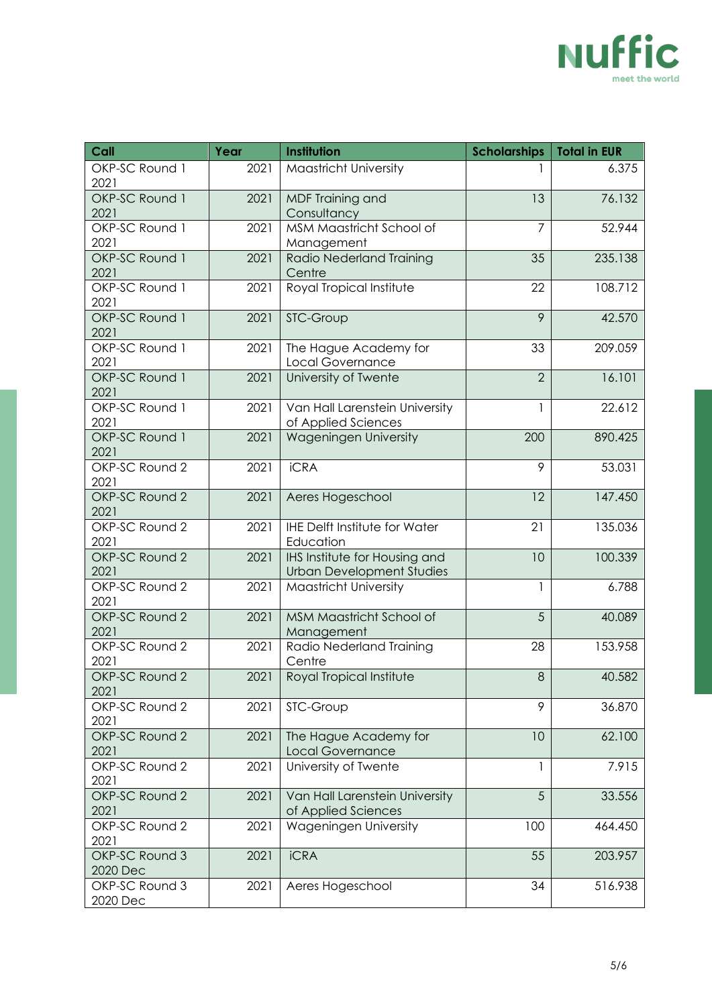

| Call                       | Year | Institution                                                       | <b>Scholarships</b> | <b>Total in EUR</b> |
|----------------------------|------|-------------------------------------------------------------------|---------------------|---------------------|
| OKP-SC Round 1<br>2021     | 2021 | Maastricht University                                             |                     | 6.375               |
| OKP-SC Round 1<br>2021     | 2021 | MDF Training and<br>Consultancy                                   | 13                  | 76.132              |
| OKP-SC Round 1<br>2021     | 2021 | MSM Maastricht School of<br>Management                            | $\overline{7}$      | 52.944              |
| OKP-SC Round 1<br>2021     | 2021 | Radio Nederland Training<br>Centre                                | 35                  | 235.138             |
| OKP-SC Round 1<br>2021     | 2021 | Royal Tropical Institute                                          | 22                  | 108.712             |
| OKP-SC Round 1<br>2021     | 2021 | STC-Group                                                         | 9                   | 42.570              |
| OKP-SC Round 1<br>2021     | 2021 | The Hague Academy for<br>Local Governance                         | 33                  | 209.059             |
| OKP-SC Round 1<br>2021     | 2021 | University of Twente                                              | $\overline{2}$      | 16.101              |
| OKP-SC Round 1<br>2021     | 2021 | Van Hall Larenstein University<br>of Applied Sciences             |                     | 22.612              |
| OKP-SC Round 1<br>2021     | 2021 | <b>Wageningen University</b>                                      | 200                 | 890.425             |
| OKP-SC Round 2<br>2021     | 2021 | <b>iCRA</b>                                                       | 9                   | 53.031              |
| OKP-SC Round 2<br>2021     | 2021 | Aeres Hogeschool                                                  | 12                  | 147.450             |
| OKP-SC Round 2<br>2021     | 2021 | <b>IHE Delft Institute for Water</b><br>Education                 | 21                  | 135.036             |
| OKP-SC Round 2<br>2021     | 2021 | IHS Institute for Housing and<br><b>Urban Development Studies</b> | 10                  | 100.339             |
| OKP-SC Round 2<br>2021     | 2021 | <b>Maastricht University</b>                                      | 1                   | 6.788               |
| OKP-SC Round 2<br>2021     | 2021 | MSM Maastricht School of<br>Management                            | 5                   | 40.089              |
| OKP-SC Round 2<br>2021     | 2021 | Radio Nederland Training<br>Centre                                | 28                  | 153.958             |
| OKP-SC Round 2<br>2021     | 2021 | Royal Tropical Institute                                          | 8                   | 40.582              |
| OKP-SC Round 2<br>2021     | 2021 | STC-Group                                                         | 9                   | 36.870              |
| OKP-SC Round 2<br>2021     | 2021 | The Hague Academy for<br>Local Governance                         | 10                  | 62.100              |
| OKP-SC Round 2<br>2021     | 2021 | University of Twente                                              |                     | 7.915               |
| OKP-SC Round 2<br>2021     | 2021 | Van Hall Larenstein University<br>of Applied Sciences             | 5                   | 33.556              |
| OKP-SC Round 2<br>2021     | 2021 | Wageningen University                                             | 100                 | 464.450             |
| OKP-SC Round 3<br>2020 Dec | 2021 | <b>iCRA</b>                                                       | 55                  | 203.957             |
| OKP-SC Round 3<br>2020 Dec | 2021 | Aeres Hogeschool                                                  | 34                  | 516.938             |